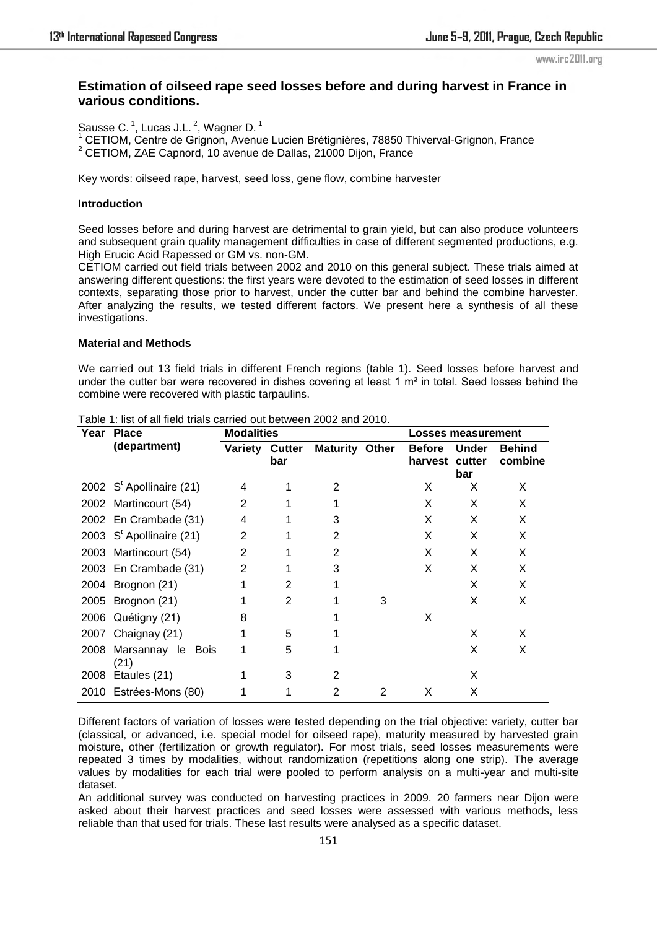www.irc2011.org

# **Estimation of oilseed rape seed losses before and during harvest in France in various conditions.**

Sausse C.<sup>1</sup>, Lucas J.L.<sup>2</sup>, Wagner D.<sup>1</sup>

<sup>1</sup> CETIOM, Centre de Grignon, Avenue Lucien Brétignières, 78850 Thiverval-Grignon, France 2 CETIOM, ZAE Capnord, 10 avenue de Dallas, 21000 Dijon, France

Key words: oilseed rape, harvest, seed loss, gene flow, combine harvester

# **Introduction**

Seed losses before and during harvest are detrimental to grain yield, but can also produce volunteers and subsequent grain quality management difficulties in case of different segmented productions, e.g. High Erucic Acid Rapessed or GM vs. non-GM.

CETIOM carried out field trials between 2002 and 2010 on this general subject. These trials aimed at answering different questions: the first years were devoted to the estimation of seed losses in different contexts, separating those prior to harvest, under the cutter bar and behind the combine harvester. After analyzing the results, we tested different factors. We present here a synthesis of all these investigations.

# **Material and Methods**

We carried out 13 field trials in different French regions (table 1). Seed losses before harvest and under the cutter bar were recovered in dishes covering at least 1  $m<sup>2</sup>$  in total. Seed losses behind the combine were recovered with plastic tarpaulins.

| Year | <b>Place</b>               | <b>Modalities</b> |                      |                       |   | <b>Losses measurement</b> |                               |                          |
|------|----------------------------|-------------------|----------------------|-----------------------|---|---------------------------|-------------------------------|--------------------------|
|      | (department)               | <b>Variety</b>    | <b>Cutter</b><br>bar | <b>Maturity Other</b> |   | <b>Before</b><br>harvest  | <b>Under</b><br>cutter<br>bar | <b>Behind</b><br>combine |
|      | 2002 $St$ Apollinaire (21) | 4                 |                      | 2                     |   | X                         | X                             | X                        |
|      | 2002 Martincourt (54)      | 2                 |                      |                       |   | X                         | X                             | X                        |
|      | 2002 En Crambade (31)      | 4                 |                      | 3                     |   | X                         | X                             | X                        |
|      | 2003 $St$ Apollinaire (21) | $\overline{2}$    |                      | 2                     |   | X                         | X                             | X                        |
|      | 2003 Martincourt (54)      | $\overline{2}$    |                      | $\overline{2}$        |   | X                         | X                             | X                        |
|      | 2003 En Crambade (31)      | $\overline{2}$    |                      | 3                     |   | X                         | X                             | X                        |
|      | 2004 Brognon (21)          |                   | 2                    |                       |   |                           | X                             | X                        |
| 2005 | Brognon (21)               |                   | $\mathbf{2}$         |                       | 3 |                           | X                             | X                        |
|      | 2006 Quétigny (21)         | 8                 |                      |                       |   | X                         |                               |                          |
|      | 2007 Chaignay (21)         |                   | 5                    |                       |   |                           | X                             | X                        |
| 2008 | Marsannay le Bois<br>(21)  |                   | 5                    |                       |   |                           | X                             | X                        |
| 2008 | Etaules (21)               |                   | 3                    | 2                     |   |                           | X                             |                          |
|      | 2010 Estrées-Mons (80)     |                   |                      | 2                     | 2 | X                         | X                             |                          |

Table 1: list of all field trials carried out between 2002 and 2010.

Different factors of variation of losses were tested depending on the trial objective: variety, cutter bar (classical, or advanced, i.e. special model for oilseed rape), maturity measured by harvested grain moisture, other (fertilization or growth regulator). For most trials, seed losses measurements were repeated 3 times by modalities, without randomization (repetitions along one strip). The average values by modalities for each trial were pooled to perform analysis on a multi-year and multi-site dataset.

An additional survey was conducted on harvesting practices in 2009. 20 farmers near Dijon were asked about their harvest practices and seed losses were assessed with various methods, less reliable than that used for trials. These last results were analysed as a specific dataset.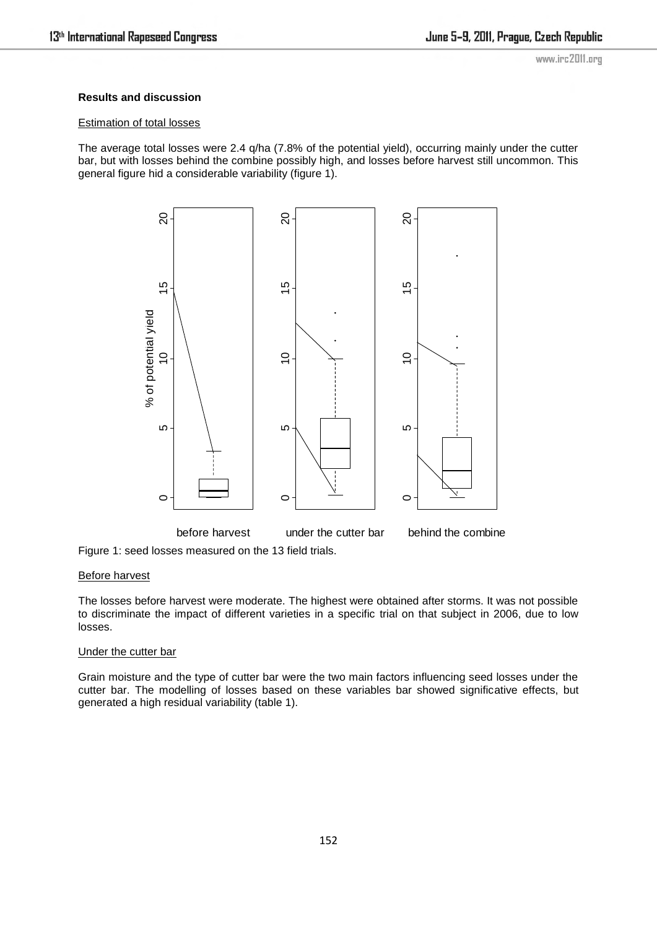# **Results and discussion**

## Estimation of total losses

The average total losses were 2.4 q/ha (7.8% of the potential yield), occurring mainly under the cutter bar, but with losses behind the combine possibly high, and losses before harvest still uncommon. This general figure hid a considerable variability (figure 1).



Figure 1: seed losses measured on the 13 field trials.

## Before harvest

The losses before harvest were moderate. The highest were obtained after storms. It was not possible to discriminate the impact of different varieties in a specific trial on that subject in 2006, due to low losses.

### Under the cutter bar

Grain moisture and the type of cutter bar were the two main factors influencing seed losses under the cutter bar. The modelling of losses based on these variables bar showed significative effects, but generated a high residual variability (table 1).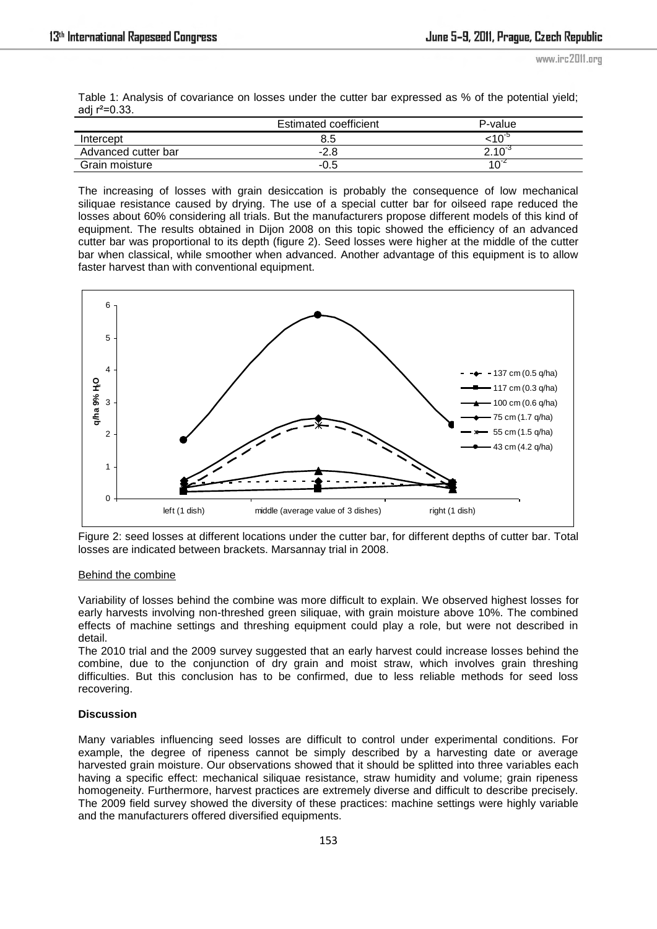Table 1: Analysis of covariance on losses under the cutter bar expressed as % of the potential yield; adj  $r^2 = 0.33$ .

|                     | Estimated coefficient | P-value           |
|---------------------|-----------------------|-------------------|
| Intercept           | 8.5                   |                   |
| Advanced cutter bar | -2.8                  | $2.10^{\circ}$    |
| Grain moisture      | -0.5                  | 10 $\rm ^{\circ}$ |

The increasing of losses with grain desiccation is probably the consequence of low mechanical siliquae resistance caused by drying. The use of a special cutter bar for oilseed rape reduced the losses about 60% considering all trials. But the manufacturers propose different models of this kind of equipment. The results obtained in Dijon 2008 on this topic showed the efficiency of an advanced cutter bar was proportional to its depth (figure 2). Seed losses were higher at the middle of the cutter bar when classical, while smoother when advanced. Another advantage of this equipment is to allow faster harvest than with conventional equipment.



Figure 2: seed losses at different locations under the cutter bar, for different depths of cutter bar. Total losses are indicated between brackets. Marsannay trial in 2008.

### Behind the combine

Variability of losses behind the combine was more difficult to explain. We observed highest losses for early harvests involving non-threshed green siliquae, with grain moisture above 10%. The combined effects of machine settings and threshing equipment could play a role, but were not described in detail.

The 2010 trial and the 2009 survey suggested that an early harvest could increase losses behind the combine, due to the conjunction of dry grain and moist straw, which involves grain threshing difficulties. But this conclusion has to be confirmed, due to less reliable methods for seed loss recovering.

## **Discussion**

Many variables influencing seed losses are difficult to control under experimental conditions. For example, the degree of ripeness cannot be simply described by a harvesting date or average harvested grain moisture. Our observations showed that it should be splitted into three variables each having a specific effect: mechanical siliquae resistance, straw humidity and volume; grain ripeness homogeneity. Furthermore, harvest practices are extremely diverse and difficult to describe precisely. The 2009 field survey showed the diversity of these practices: machine settings were highly variable and the manufacturers offered diversified equipments.